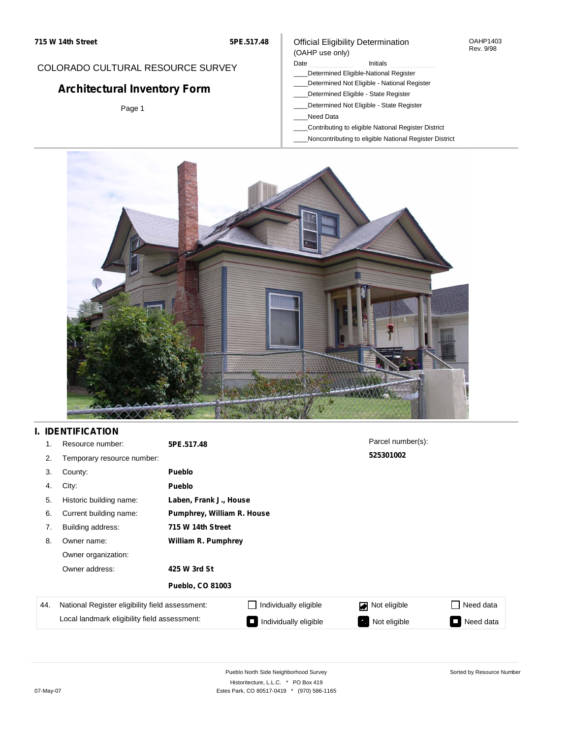### Official Eligibility Determination (OAHP use only)

OAHP1403 Rev. 9/98

## COLORADO CULTURAL RESOURCE SURVEY

# **Architectural Inventory Form**

Page 1

#### Date **Initials** Initials

- \_\_\_\_Determined Eligible-National Register
- \_\_\_\_Determined Not Eligible National Register
- \_\_\_\_Determined Eligible State Register
- \_\_\_\_Determined Not Eligible State Register
- \_\_\_\_Need Data
- \_\_\_\_Contributing to eligible National Register District
- \_\_\_\_Noncontributing to eligible National Register District



# **I. IDENTIFICATION**

| 1.  | Resource number:                                | 5PE.517.48                 |                            | Parcel number(s): |           |  |  |
|-----|-------------------------------------------------|----------------------------|----------------------------|-------------------|-----------|--|--|
| 2.  | Temporary resource number:                      |                            |                            | 525301002         |           |  |  |
| 3.  | County:                                         | <b>Pueblo</b>              |                            |                   |           |  |  |
| 4.  | City:                                           | <b>Pueblo</b>              |                            |                   |           |  |  |
| 5.  | Historic building name:                         |                            | Laben, Frank J., House     |                   |           |  |  |
| 6.  | Current building name:                          | Pumphrey, William R. House |                            |                   |           |  |  |
| 7.  | Building address:                               | 715 W 14th Street          |                            |                   |           |  |  |
| 8.  | Owner name:                                     |                            | <b>William R. Pumphrey</b> |                   |           |  |  |
|     | Owner organization:                             |                            |                            |                   |           |  |  |
|     | Owner address:                                  | 425 W 3rd St               |                            |                   |           |  |  |
|     |                                                 | <b>Pueblo, CO 81003</b>    |                            |                   |           |  |  |
| 44. | National Register eligibility field assessment: |                            | Individually eligible      | Not eligible<br>◪ | Need data |  |  |
|     | Local landmark eligibility field assessment:    |                            | Individually eligible      | Not eligible      | Need data |  |  |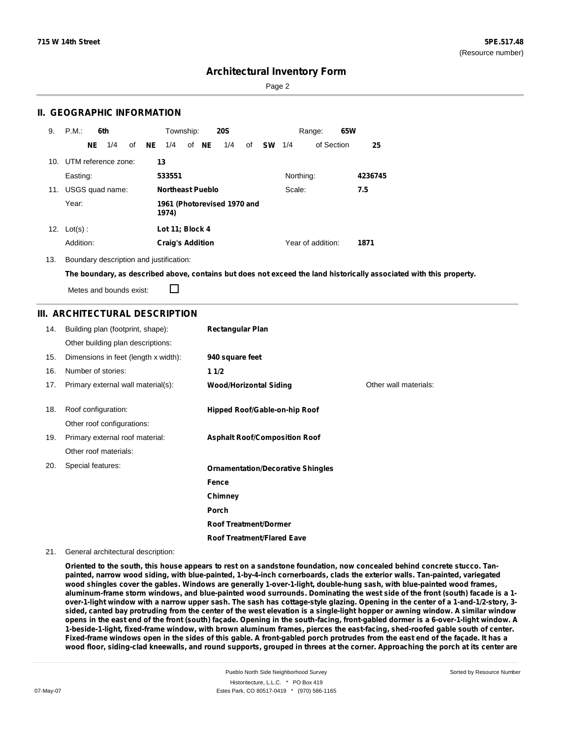Page 2

### **II. GEOGRAPHIC INFORMATION**

| 9.  | P.M.       |    | 6th                     |    |     | Township:                            |  |       | <b>20S</b> |    |           |           | Range:            | 65W |         |
|-----|------------|----|-------------------------|----|-----|--------------------------------------|--|-------|------------|----|-----------|-----------|-------------------|-----|---------|
|     |            | NE | 1/4                     | of | NE. | 1/4                                  |  | of NE | 1/4        | of | <b>SW</b> | 1/4       | of Section        |     | 25      |
|     |            |    | 10. UTM reference zone: |    | 13  |                                      |  |       |            |    |           |           |                   |     |         |
|     | Easting:   |    |                         |    |     | 533551                               |  |       |            |    |           | Northing: |                   |     | 4236745 |
| 11. |            |    | USGS quad name:         |    |     | Northeast Pueblo                     |  |       |            |    |           | Scale:    |                   |     | 7.5     |
|     | Year:      |    |                         |    |     | 1961 (Photorevised 1970 and<br>1974) |  |       |            |    |           |           |                   |     |         |
| 12. | $Lot(s)$ : |    |                         |    |     | Lot 11; Block 4                      |  |       |            |    |           |           |                   |     |         |
|     | Addition:  |    |                         |    |     | <b>Craig's Addition</b>              |  |       |            |    |           |           | Year of addition: |     | 1871    |

13. Boundary description and justification:

The boundary, as described above, contains but does not exceed the land historically associated with this property.

Metes and bounds exist:

П

### **III. ARCHITECTURAL DESCRIPTION**

| 14. | Building plan (footprint, shape):    | <b>Rectangular Plan</b>                  |                       |
|-----|--------------------------------------|------------------------------------------|-----------------------|
|     | Other building plan descriptions:    |                                          |                       |
| 15. | Dimensions in feet (length x width): | 940 square feet                          |                       |
| 16. | Number of stories:                   | 11/2                                     |                       |
| 17. | Primary external wall material(s):   | <b>Wood/Horizontal Siding</b>            | Other wall materials: |
| 18. | Roof configuration:                  | Hipped Roof/Gable-on-hip Roof            |                       |
|     | Other roof configurations:           |                                          |                       |
| 19. | Primary external roof material:      | <b>Asphalt Roof/Composition Roof</b>     |                       |
|     | Other roof materials:                |                                          |                       |
| 20. | Special features:                    | <b>Ornamentation/Decorative Shingles</b> |                       |
|     |                                      | Fence                                    |                       |
|     |                                      | Chimney                                  |                       |
|     |                                      | Porch                                    |                       |
|     |                                      | <b>Roof Treatment/Dormer</b>             |                       |
|     |                                      | <b>Roof Treatment/Flared Eave</b>        |                       |

#### 21. General architectural description:

Oriented to the south, this house appears to rest on a sandstone foundation, now concealed behind concrete stucco. Tan**painted, narrow wood siding, with blue-painted, 1-by-4-inch cornerboards, clads the exterior walls. Tan-painted, variegated wood shingles cover the gables. Windows are generally 1-over-1-light, double-hung sash, with blue-painted wood frames,** aluminum-frame storm windows, and blue-painted wood surrounds. Dominating the west side of the front (south) facade is a 1over-1-light window with a narrow upper sash. The sash has cottage-style glazing. Opening in the center of a 1-and-1/2-story, 3sided, canted bay protruding from the center of the west elevation is a single-light hopper or awning window. A similar window opens in the east end of the front (south) façade. Opening in the south-facing, front-gabled dormer is a 6-over-1-light window. A 1-beside-1-light, fixed-frame window, with brown aluminum frames, pierces the east-facing, shed-roofed gable south of center. Fixed-frame windows open in the sides of this gable. A front-gabled porch protrudes from the east end of the façade. It has a wood floor, siding-clad kneewalls, and round supports, grouped in threes at the corner. Approaching the porch at its center are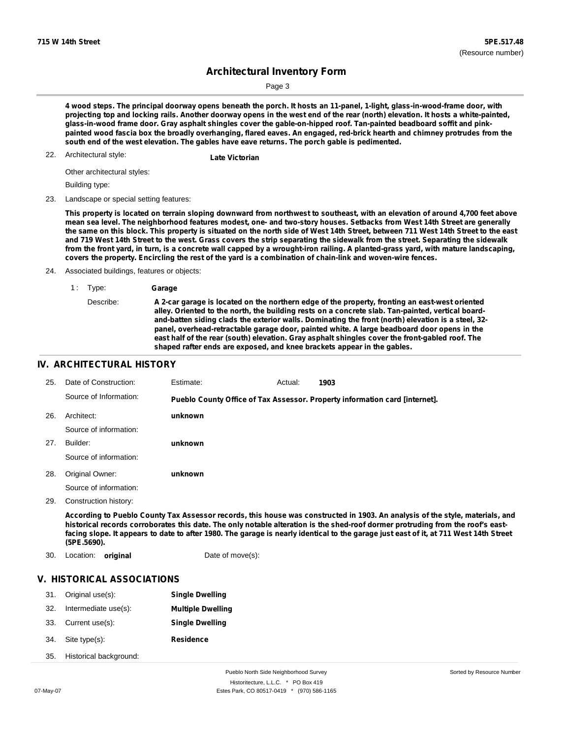Sorted by Resource Number

# **Architectural Inventory Form**

Page 3

4 wood steps. The principal doorway opens beneath the porch. It hosts an 11-panel, 1-light, glass-in-wood-frame door, with projecting top and locking rails. Another doorway opens in the west end of the rear (north) elevation. It hosts a white-painted, **glass-in-wood frame door. Gray asphalt shingles cover the gable-on-hipped roof. Tan-painted beadboard soffit and pink**painted wood fascia box the broadly overhanging, flared eaves. An engaged, red-brick hearth and chimney protrudes from the **south end of the west elevation. The gables have eave returns. The porch gable is pedimented.**

Architectural style: 22. **Late Victorian**

Other architectural styles:

Building type:

23. Landscape or special setting features:

This property is located on terrain sloping downward from northwest to southeast, with an elevation of around 4,700 feet above mean sea level. The neighborhood features modest, one- and two-story houses. Setbacks from West 14th Street are generally the same on this block. This property is situated on the north side of West 14th Street, between 711 West 14th Street to the east and 719 West 14th Street to the west. Grass covers the strip separating the sidewalk from the street. Separating the sidewalk from the front yard, in turn, is a concrete wall capped by a wrought-iron railing. A planted-grass yard, with mature landscaping, covers the property. Encircling the rest of the yard is a combination of chain-link and woven-wire fences.

24. Associated buildings, features or objects:

1 : Type: **Garage**

#### **IV. ARCHITECTURAL HISTORY**

| 25. | Date of Construction:  | Estimate: | Actual: | 1903                                                                        |
|-----|------------------------|-----------|---------|-----------------------------------------------------------------------------|
|     | Source of Information: |           |         | Pueblo County Office of Tax Assessor. Property information card [internet]. |
| 26. | Architect:             | unknown   |         |                                                                             |
|     | Source of information: |           |         |                                                                             |
| 27. | Builder:               | unknown   |         |                                                                             |
|     | Source of information: |           |         |                                                                             |
| 28. | Original Owner:        | unknown   |         |                                                                             |
|     | Source of information: |           |         |                                                                             |
| 29. | Construction history:  |           |         |                                                                             |

According to Pueblo County Tax Assessor records, this house was constructed in 1903. An analysis of the style, materials, and historical records corroborates this date. The only notable alteration is the shed-roof dormer protruding from the roof's eastfacing slope. It appears to date to after 1980. The garage is nearly identical to the garage just east of it, at 711 West 14th Street **(5PE.5690).**

30. Location: **original** Date of move(s):

### **V. HISTORICAL ASSOCIATIONS**

| 31. | Original use(s):           | <b>Single Dwelling</b>   |
|-----|----------------------------|--------------------------|
| 32. | Intermediate use(s):       | <b>Multiple Dwelling</b> |
| 33. | Current use(s):            | <b>Single Dwelling</b>   |
| 34. | Site type(s):              | <b>Residence</b>         |
|     | 35. Historical background: |                          |

Describe: **A 2-car garage is located on the northern edge of the property, fronting an east-west oriented alley. Oriented to the north, the building rests on a concrete slab. Tan-painted, vertical boardand-batten siding clads the exterior walls. Dominating the front (north) elevation is a steel, 32 panel, overhead-retractable garage door, painted white. A large beadboard door opens in the east half of the rear (south) elevation. Gray asphalt shingles cover the front-gabled roof. The shaped rafter ends are exposed, and knee brackets appear in the gables.**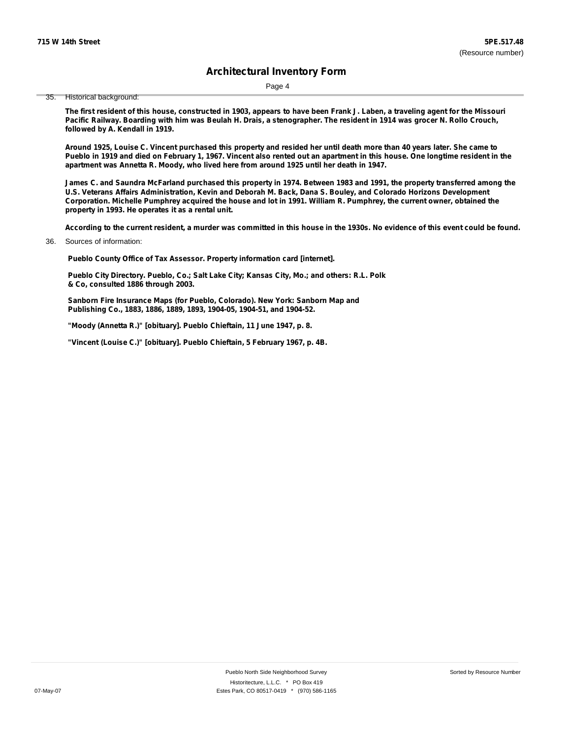Page 4

35. Historical background:

The first resident of this house, constructed in 1903, appears to have been Frank J. Laben, a traveling agent for the Missouri Pacific Railway. Boarding with him was Beulah H. Drais, a stenographer. The resident in 1914 was grocer N. Rollo Crouch, **followed by A. Kendall in 1919.**

Around 1925, Louise C. Vincent purchased this property and resided her until death more than 40 years later. She came to Pueblo in 1919 and died on February 1, 1967. Vincent also rented out an apartment in this house. One longtime resident in the **apartment was Annetta R. Moody, who lived here from around 1925 until her death in 1947.**

James C. and Saundra McFarland purchased this property in 1974. Between 1983 and 1991, the property transferred among the U.S. Veterans Affairs Administration, Kevin and Deborah M. Back, Dana S. Bouley, and Colorado Horizons Development Corporation. Michelle Pumphrey acquired the house and lot in 1991. William R. Pumphrey, the current owner, obtained the **property in 1993. He operates it as a rental unit.**

According to the current resident, a murder was committed in this house in the 1930s. No evidence of this event could be found.

Sources of information: 36.

**Pueblo County Office of Tax Assessor. Property information card [internet].**

**Pueblo City Directory. Pueblo, Co.; Salt Lake City; Kansas City, Mo.; and others: R.L. Polk & Co, consulted 1886 through 2003.**

**Sanborn Fire Insurance Maps (for Pueblo, Colorado). New York: Sanborn Map and Publishing Co., 1883, 1886, 1889, 1893, 1904-05, 1904-51, and 1904-52.**

**"Moody (Annetta R.)" [obituary]. Pueblo Chieftain, 11 June 1947, p. 8.**

**"Vincent (Louise C.)" [obituary]. Pueblo Chieftain, 5 February 1967, p. 4B.**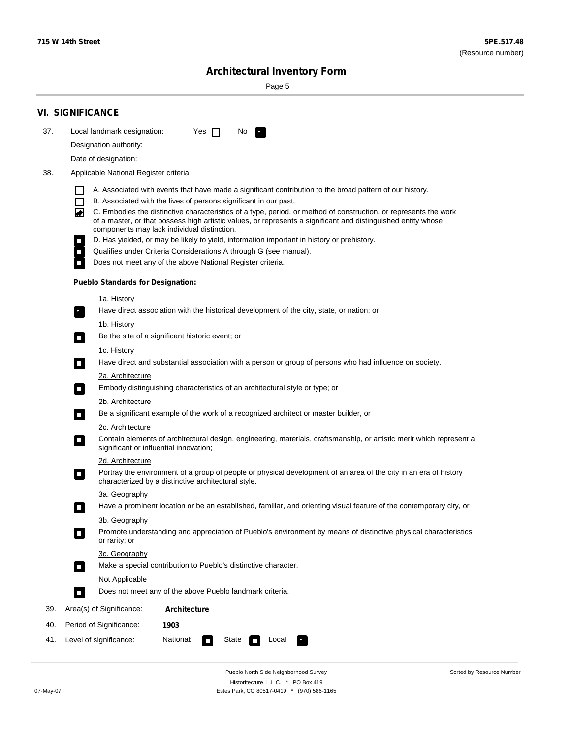Sorted by Resource Number

# **Architectural Inventory Form**

Page 5

|     | <b>VI. SIGNIFICANCE</b>                                                                                                                                                                                                                                                          |  |  |  |  |  |  |  |
|-----|----------------------------------------------------------------------------------------------------------------------------------------------------------------------------------------------------------------------------------------------------------------------------------|--|--|--|--|--|--|--|
| 37. | Local landmark designation:<br>Yes $\Box$<br>No.                                                                                                                                                                                                                                 |  |  |  |  |  |  |  |
|     | Designation authority:                                                                                                                                                                                                                                                           |  |  |  |  |  |  |  |
|     | Date of designation:                                                                                                                                                                                                                                                             |  |  |  |  |  |  |  |
| 38. | Applicable National Register criteria:                                                                                                                                                                                                                                           |  |  |  |  |  |  |  |
|     | A. Associated with events that have made a significant contribution to the broad pattern of our history.                                                                                                                                                                         |  |  |  |  |  |  |  |
|     | B. Associated with the lives of persons significant in our past.                                                                                                                                                                                                                 |  |  |  |  |  |  |  |
|     | C. Embodies the distinctive characteristics of a type, period, or method of construction, or represents the work<br>of a master, or that possess high artistic values, or represents a significant and distinguished entity whose<br>components may lack individual distinction. |  |  |  |  |  |  |  |
|     | D. Has yielded, or may be likely to yield, information important in history or prehistory.                                                                                                                                                                                       |  |  |  |  |  |  |  |
|     | Qualifies under Criteria Considerations A through G (see manual).                                                                                                                                                                                                                |  |  |  |  |  |  |  |
|     | Does not meet any of the above National Register criteria.                                                                                                                                                                                                                       |  |  |  |  |  |  |  |
|     | <b>Pueblo Standards for Designation:</b>                                                                                                                                                                                                                                         |  |  |  |  |  |  |  |
|     | <u>1a. History</u>                                                                                                                                                                                                                                                               |  |  |  |  |  |  |  |
|     | Have direct association with the historical development of the city, state, or nation; or<br>$\overline{\phantom{a}}$ .                                                                                                                                                          |  |  |  |  |  |  |  |
|     | <u>1b. History</u>                                                                                                                                                                                                                                                               |  |  |  |  |  |  |  |
|     | Be the site of a significant historic event; or<br>$\Box$                                                                                                                                                                                                                        |  |  |  |  |  |  |  |
|     | 1c. History<br>Have direct and substantial association with a person or group of persons who had influence on society.<br>$\sim$                                                                                                                                                 |  |  |  |  |  |  |  |
|     | 2a. Architecture                                                                                                                                                                                                                                                                 |  |  |  |  |  |  |  |
|     | Embody distinguishing characteristics of an architectural style or type; or<br>$\overline{\phantom{a}}$                                                                                                                                                                          |  |  |  |  |  |  |  |
|     | 2b. Architecture                                                                                                                                                                                                                                                                 |  |  |  |  |  |  |  |
|     | Be a significant example of the work of a recognized architect or master builder, or<br>$\overline{\phantom{a}}$                                                                                                                                                                 |  |  |  |  |  |  |  |
|     | 2c. Architecture                                                                                                                                                                                                                                                                 |  |  |  |  |  |  |  |
|     | Contain elements of architectural design, engineering, materials, craftsmanship, or artistic merit which represent a<br>$\mathcal{L}_{\mathcal{A}}$<br>significant or influential innovation;                                                                                    |  |  |  |  |  |  |  |
|     | 2d. Architecture                                                                                                                                                                                                                                                                 |  |  |  |  |  |  |  |
|     | Portray the environment of a group of people or physical development of an area of the city in an era of history<br>$\mathcal{L}_{\mathcal{A}}$<br>characterized by a distinctive architectural style.                                                                           |  |  |  |  |  |  |  |
|     | 3a. Geography                                                                                                                                                                                                                                                                    |  |  |  |  |  |  |  |
|     | Have a prominent location or be an established, familiar, and orienting visual feature of the contemporary city, or<br>П                                                                                                                                                         |  |  |  |  |  |  |  |
|     | 3b. Geography                                                                                                                                                                                                                                                                    |  |  |  |  |  |  |  |
|     | Promote understanding and appreciation of Pueblo's environment by means of distinctive physical characteristics<br>or rarity; or                                                                                                                                                 |  |  |  |  |  |  |  |
|     | 3c. Geography                                                                                                                                                                                                                                                                    |  |  |  |  |  |  |  |
|     | Make a special contribution to Pueblo's distinctive character.<br>О                                                                                                                                                                                                              |  |  |  |  |  |  |  |
|     | Not Applicable                                                                                                                                                                                                                                                                   |  |  |  |  |  |  |  |
|     | Does not meet any of the above Pueblo landmark criteria.<br>$\overline{\phantom{a}}$                                                                                                                                                                                             |  |  |  |  |  |  |  |
| 39. | Area(s) of Significance:<br><b>Architecture</b>                                                                                                                                                                                                                                  |  |  |  |  |  |  |  |
| 40. | Period of Significance:<br>1903                                                                                                                                                                                                                                                  |  |  |  |  |  |  |  |
| 41. | National:<br>Level of significance:<br>State<br>Local<br>$\overline{\phantom{a}}$                                                                                                                                                                                                |  |  |  |  |  |  |  |

Pueblo North Side Neighborhood Survey Historitecture, L.L.C. \* PO Box 419 07-May-07 Estes Park, CO 80517-0419 \* (970) 586-1165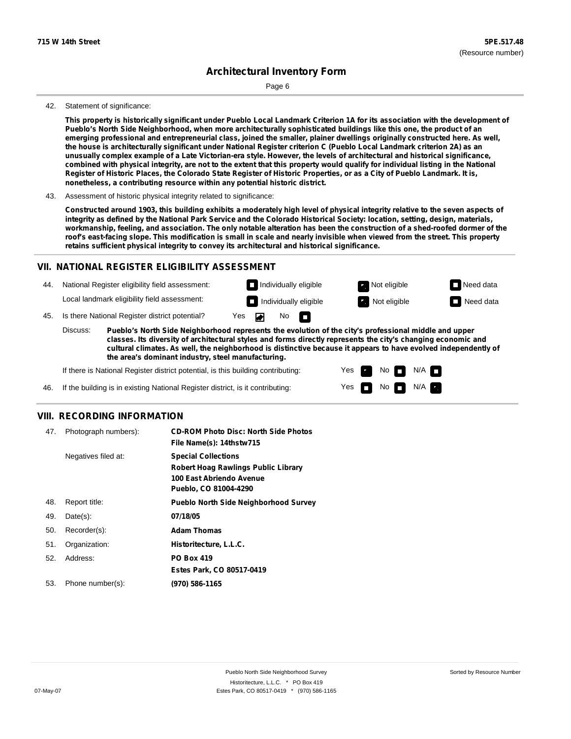Page 6

#### 42. Statement of significance:

This property is historically significant under Pueblo Local Landmark Criterion 1A for its association with the development of Pueblo's North Side Neighborhood, when more architecturally sophisticated buildings like this one, the product of an emerging professional and entrepreneurial class, joined the smaller, plainer dwellings originally constructed here. As well, the house is architecturally significant under National Register criterion C (Pueblo Local Landmark criterion 2A) as an unusually complex example of a Late Victorian-era style. However, the levels of architectural and historical significance, combined with physical integrity, are not to the extent that this property would qualify for individual listing in the National Register of Historic Places, the Colorado State Register of Historic Properties, or as a City of Pueblo Landmark. It is, **nonetheless, a contributing resource within any potential historic district.**

43. Assessment of historic physical integrity related to significance:

Constructed around 1903, this building exhibits a moderately high level of physical integrity relative to the seven aspects of integrity as defined by the National Park Service and the Colorado Historical Society: location, setting, design, materials, workmanship, feeling, and association. The only notable alteration has been the construction of a shed-roofed dormer of the roof's east-facing slope. This modification is small in scale and nearly invisible when viewed from the street. This property **retains sufficient physical integrity to convey its architectural and historical significance.**

### **VII. NATIONAL REGISTER ELIGIBILITY ASSESSMENT**

**Individually eligible Not eligible** Not eligible **Need data** 44. National Register eligibility field assessment: Local landmark eligibility field assessment: **Individually eligible Not eligible** Not eligible **Need data** 45. Is there National Register district potential? Yes No IT.

**Pueblo's North Side Neighborhood represents the evolution of the city's professional middle and upper classes. Its diversity of architectural styles and forms directly represents the city's changing economic and cultural climates. As well, the neighborhood is distinctive because it appears to have evolved independently of the area's dominant industry, steel manufacturing.** Discuss:

> Yes Yes

No

 $No$   $M/A$ 

N/A

If there is National Register district potential, is this building contributing:

If the building is in existing National Register district, is it contributing: 46.

### **VIII. RECORDING INFORMATION**

| 47. | Photograph numbers): | <b>CD-ROM Photo Disc: North Side Photos</b><br>File Name(s): 14thstw715                                                       |
|-----|----------------------|-------------------------------------------------------------------------------------------------------------------------------|
|     | Negatives filed at:  | <b>Special Collections</b><br><b>Robert Hoag Rawlings Public Library</b><br>100 East Abriendo Avenue<br>Pueblo, CO 81004-4290 |
| 48. | Report title:        | <b>Pueblo North Side Neighborhood Survey</b>                                                                                  |
| 49. | $Date(s)$ :          | 07/18/05                                                                                                                      |
| 50. | Recorder(s):         | <b>Adam Thomas</b>                                                                                                            |
| 51. | Organization:        | Historitecture, L.L.C.                                                                                                        |
| 52. | Address:             | <b>PO Box 419</b>                                                                                                             |
|     |                      | Estes Park, CO 80517-0419                                                                                                     |
| 53. | Phone number(s):     | (970) 586-1165                                                                                                                |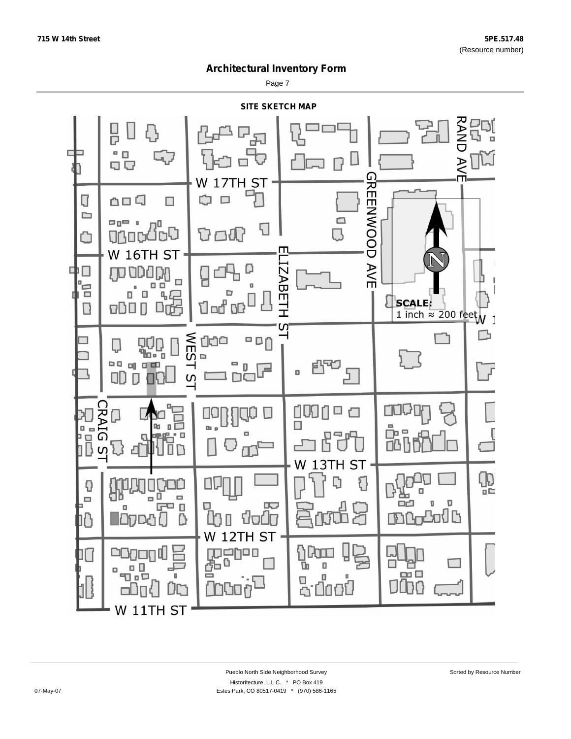Page 7